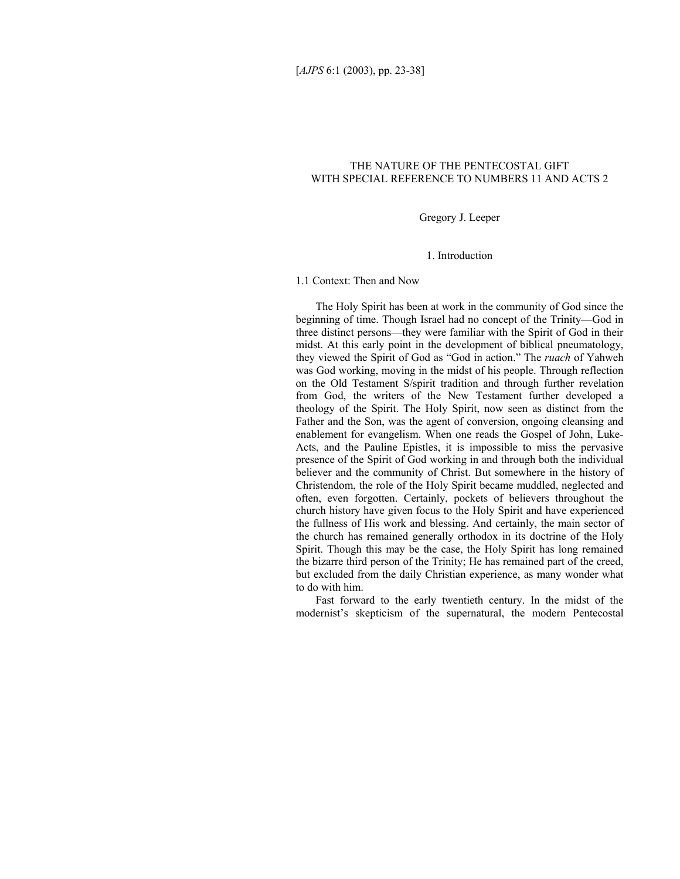# THE NATURE OF THE PENTECOSTAL GIFT WITH SPECIAL REFERENCE TO NUMBERS 11 AND ACTS 2

Gregory J. Leeper

1. Introduction

1.1 Context: Then and Now

The Holy Spirit has been at work in the community of God since the beginning of time. Though Israel had no concept of the Trinity—God in three distinct persons—they were familiar with the Spirit of God in their midst. At this early point in the development of biblical pneumatology, they viewed the Spirit of God as "God in action." The *ruach* of Yahweh was God working, moving in the midst of his people. Through reflection on the Old Testament S/spirit tradition and through further revelation from God, the writers of the New Testament further developed a theology of the Spirit. The Holy Spirit, now seen as distinct from the Father and the Son, was the agent of conversion, ongoing cleansing and enablement for evangelism. When one reads the Gospel of John, Luke-Acts, and the Pauline Epistles, it is impossible to miss the pervasive presence of the Spirit of God working in and through both the individual believer and the community of Christ. But somewhere in the history of Christendom, the role of the Holy Spirit became muddled, neglected and often, even forgotten. Certainly, pockets of believers throughout the church history have given focus to the Holy Spirit and have experienced the fullness of His work and blessing. And certainly, the main sector of the church has remained generally orthodox in its doctrine of the Holy Spirit. Though this may be the case, the Holy Spirit has long remained the bizarre third person of the Trinity; He has remained part of the creed, but excluded from the daily Christian experience, as many wonder what to do with him.

Fast forward to the early twentieth century. In the midst of the modernist's skepticism of the supernatural, the modern Pentecostal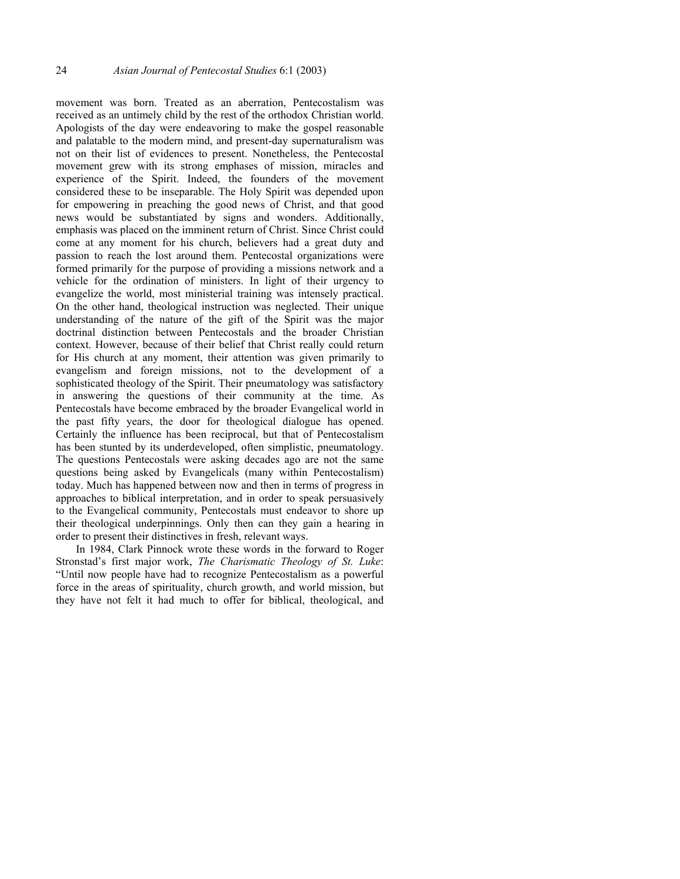movement was born. Treated as an aberration, Pentecostalism was received as an untimely child by the rest of the orthodox Christian world. Apologists of the day were endeavoring to make the gospel reasonable and palatable to the modern mind, and present-day supernaturalism was not on their list of evidences to present. Nonetheless, the Pentecostal movement grew with its strong emphases of mission, miracles and experience of the Spirit. Indeed, the founders of the movement considered these to be inseparable. The Holy Spirit was depended upon for empowering in preaching the good news of Christ, and that good news would be substantiated by signs and wonders. Additionally, emphasis was placed on the imminent return of Christ. Since Christ could come at any moment for his church, believers had a great duty and passion to reach the lost around them. Pentecostal organizations were formed primarily for the purpose of providing a missions network and a vehicle for the ordination of ministers. In light of their urgency to evangelize the world, most ministerial training was intensely practical. On the other hand, theological instruction was neglected. Their unique understanding of the nature of the gift of the Spirit was the major doctrinal distinction between Pentecostals and the broader Christian context. However, because of their belief that Christ really could return for His church at any moment, their attention was given primarily to evangelism and foreign missions, not to the development of a sophisticated theology of the Spirit. Their pneumatology was satisfactory in answering the questions of their community at the time. As Pentecostals have become embraced by the broader Evangelical world in the past fifty years, the door for theological dialogue has opened. Certainly the influence has been reciprocal, but that of Pentecostalism has been stunted by its underdeveloped, often simplistic, pneumatology. The questions Pentecostals were asking decades ago are not the same questions being asked by Evangelicals (many within Pentecostalism) today. Much has happened between now and then in terms of progress in approaches to biblical interpretation, and in order to speak persuasively to the Evangelical community, Pentecostals must endeavor to shore up their theological underpinnings. Only then can they gain a hearing in order to present their distinctives in fresh, relevant ways.

In 1984, Clark Pinnock wrote these words in the forward to Roger Stronstad's first major work, *The Charismatic Theology of St. Luke*: "Until now people have had to recognize Pentecostalism as a powerful force in the areas of spirituality, church growth, and world mission, but they have not felt it had much to offer for biblical, theological, and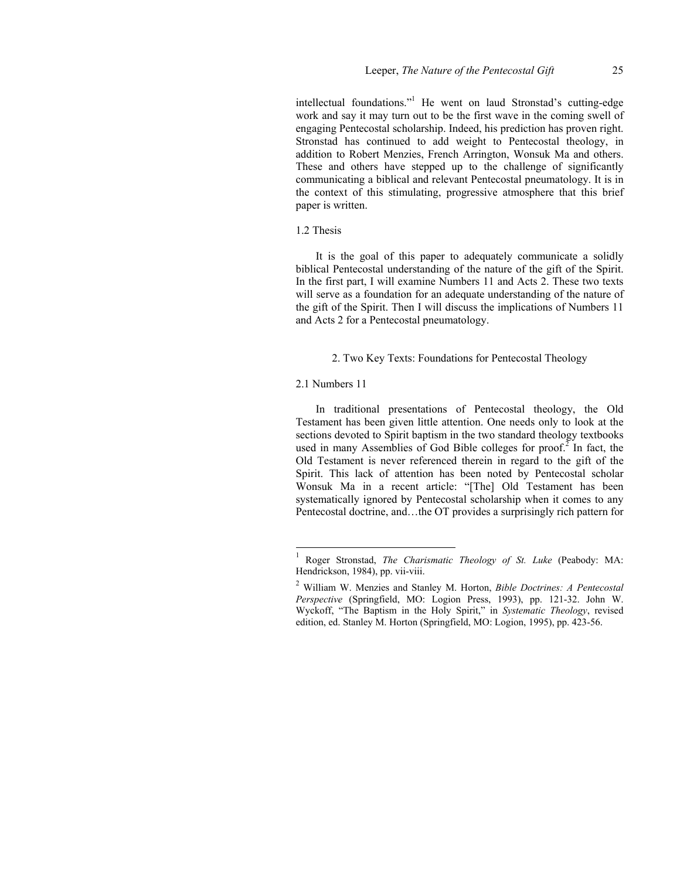intellectual foundations."<sup>1</sup> He went on laud Stronstad's cutting-edge work and say it may turn out to be the first wave in the coming swell of engaging Pentecostal scholarship. Indeed, his prediction has proven right. Stronstad has continued to add weight to Pentecostal theology, in addition to Robert Menzies, French Arrington, Wonsuk Ma and others. These and others have stepped up to the challenge of significantly communicating a biblical and relevant Pentecostal pneumatology. It is in the context of this stimulating, progressive atmosphere that this brief paper is written.

### 1.2 Thesis

It is the goal of this paper to adequately communicate a solidly biblical Pentecostal understanding of the nature of the gift of the Spirit. In the first part, I will examine Numbers 11 and Acts 2. These two texts will serve as a foundation for an adequate understanding of the nature of the gift of the Spirit. Then I will discuss the implications of Numbers 11 and Acts 2 for a Pentecostal pneumatology.

### 2. Two Key Texts: Foundations for Pentecostal Theology

### 2.1 Numbers 11

l

In traditional presentations of Pentecostal theology, the Old Testament has been given little attention. One needs only to look at the sections devoted to Spirit baptism in the two standard theology textbooks used in many Assemblies of God Bible colleges for proof.<sup>2</sup> In fact, the Old Testament is never referenced therein in regard to the gift of the Spirit. This lack of attention has been noted by Pentecostal scholar Wonsuk Ma in a recent article: "[The] Old Testament has been systematically ignored by Pentecostal scholarship when it comes to any Pentecostal doctrine, and…the OT provides a surprisingly rich pattern for

<sup>1</sup> Roger Stronstad, *The Charismatic Theology of St. Luke* (Peabody: MA: Hendrickson, 1984), pp. vii-viii.

<sup>2</sup> William W. Menzies and Stanley M. Horton, *Bible Doctrines: A Pentecostal Perspective* (Springfield, MO: Logion Press, 1993), pp. 121-32. John W. Wyckoff, "The Baptism in the Holy Spirit," in *Systematic Theology*, revised edition, ed. Stanley M. Horton (Springfield, MO: Logion, 1995), pp. 423-56.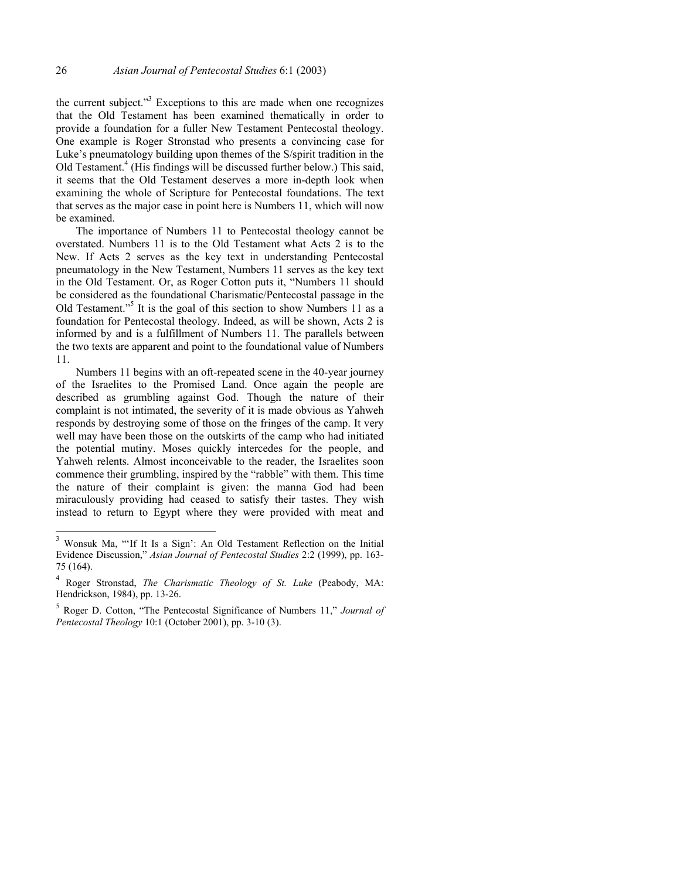the current subject. $1^{3}$  Exceptions to this are made when one recognizes that the Old Testament has been examined thematically in order to provide a foundation for a fuller New Testament Pentecostal theology. One example is Roger Stronstad who presents a convincing case for Luke's pneumatology building upon themes of the S/spirit tradition in the Old Testament.<sup>4</sup> (His findings will be discussed further below.) This said, it seems that the Old Testament deserves a more in-depth look when examining the whole of Scripture for Pentecostal foundations. The text that serves as the major case in point here is Numbers 11, which will now be examined.

The importance of Numbers 11 to Pentecostal theology cannot be overstated. Numbers 11 is to the Old Testament what Acts 2 is to the New. If Acts 2 serves as the key text in understanding Pentecostal pneumatology in the New Testament, Numbers 11 serves as the key text in the Old Testament. Or, as Roger Cotton puts it, "Numbers 11 should be considered as the foundational Charismatic/Pentecostal passage in the Old Testament."<sup>5</sup> It is the goal of this section to show Numbers 11 as a foundation for Pentecostal theology. Indeed, as will be shown, Acts 2 is informed by and is a fulfillment of Numbers 11. The parallels between the two texts are apparent and point to the foundational value of Numbers 11.

Numbers 11 begins with an oft-repeated scene in the 40-year journey of the Israelites to the Promised Land. Once again the people are described as grumbling against God. Though the nature of their complaint is not intimated, the severity of it is made obvious as Yahweh responds by destroying some of those on the fringes of the camp. It very well may have been those on the outskirts of the camp who had initiated the potential mutiny. Moses quickly intercedes for the people, and Yahweh relents. Almost inconceivable to the reader, the Israelites soon commence their grumbling, inspired by the "rabble" with them. This time the nature of their complaint is given: the manna God had been miraculously providing had ceased to satisfy their tastes. They wish instead to return to Egypt where they were provided with meat and

<sup>3</sup> Wonsuk Ma, "'If It Is a Sign': An Old Testament Reflection on the Initial Evidence Discussion," *Asian Journal of Pentecostal Studies* 2:2 (1999), pp. 163- 75 (164).

<sup>4</sup> Roger Stronstad, *The Charismatic Theology of St. Luke* (Peabody, MA: Hendrickson, 1984), pp. 13-26.

<sup>5</sup> Roger D. Cotton, "The Pentecostal Significance of Numbers 11," *Journal of Pentecostal Theology* 10:1 (October 2001), pp. 3-10 (3).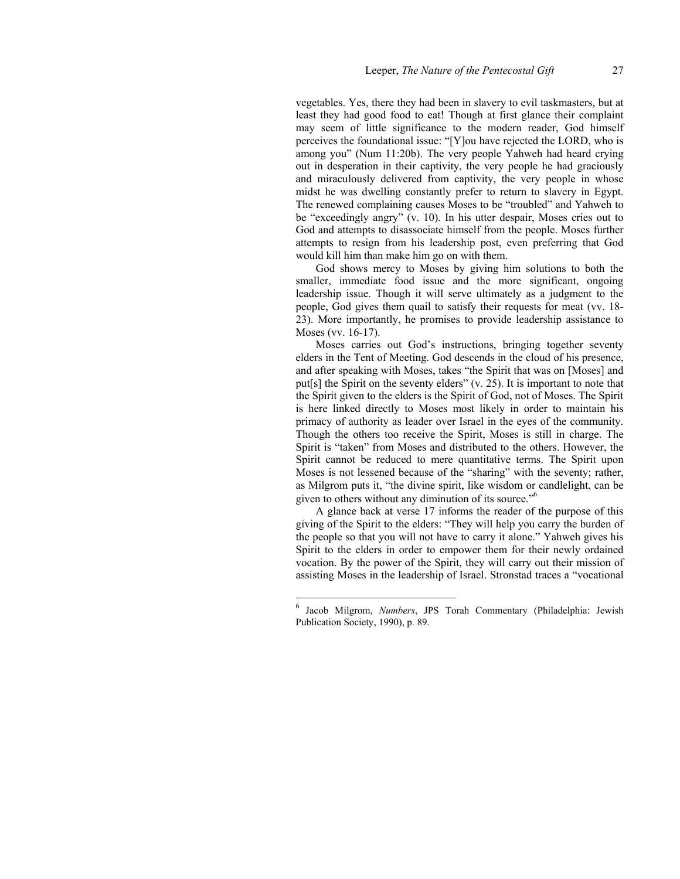vegetables. Yes, there they had been in slavery to evil taskmasters, but at least they had good food to eat! Though at first glance their complaint may seem of little significance to the modern reader, God himself perceives the foundational issue: "[Y]ou have rejected the LORD, who is among you" (Num 11:20b). The very people Yahweh had heard crying out in desperation in their captivity, the very people he had graciously and miraculously delivered from captivity, the very people in whose midst he was dwelling constantly prefer to return to slavery in Egypt. The renewed complaining causes Moses to be "troubled" and Yahweh to be "exceedingly angry" (v. 10). In his utter despair, Moses cries out to God and attempts to disassociate himself from the people. Moses further attempts to resign from his leadership post, even preferring that God would kill him than make him go on with them.

God shows mercy to Moses by giving him solutions to both the smaller, immediate food issue and the more significant, ongoing leadership issue. Though it will serve ultimately as a judgment to the people, God gives them quail to satisfy their requests for meat (vv. 18- 23). More importantly, he promises to provide leadership assistance to Moses (vv. 16-17).

Moses carries out God's instructions, bringing together seventy elders in the Tent of Meeting. God descends in the cloud of his presence, and after speaking with Moses, takes "the Spirit that was on [Moses] and put[s] the Spirit on the seventy elders" (v. 25). It is important to note that the Spirit given to the elders is the Spirit of God, not of Moses. The Spirit is here linked directly to Moses most likely in order to maintain his primacy of authority as leader over Israel in the eyes of the community. Though the others too receive the Spirit, Moses is still in charge. The Spirit is "taken" from Moses and distributed to the others. However, the Spirit cannot be reduced to mere quantitative terms. The Spirit upon Moses is not lessened because of the "sharing" with the seventy; rather, as Milgrom puts it, "the divine spirit, like wisdom or candlelight, can be given to others without any diminution of its source."6

A glance back at verse 17 informs the reader of the purpose of this giving of the Spirit to the elders: "They will help you carry the burden of the people so that you will not have to carry it alone." Yahweh gives his Spirit to the elders in order to empower them for their newly ordained vocation. By the power of the Spirit, they will carry out their mission of assisting Moses in the leadership of Israel. Stronstad traces a "vocational

<sup>6</sup> Jacob Milgrom, *Numbers*, JPS Torah Commentary (Philadelphia: Jewish Publication Society, 1990), p. 89.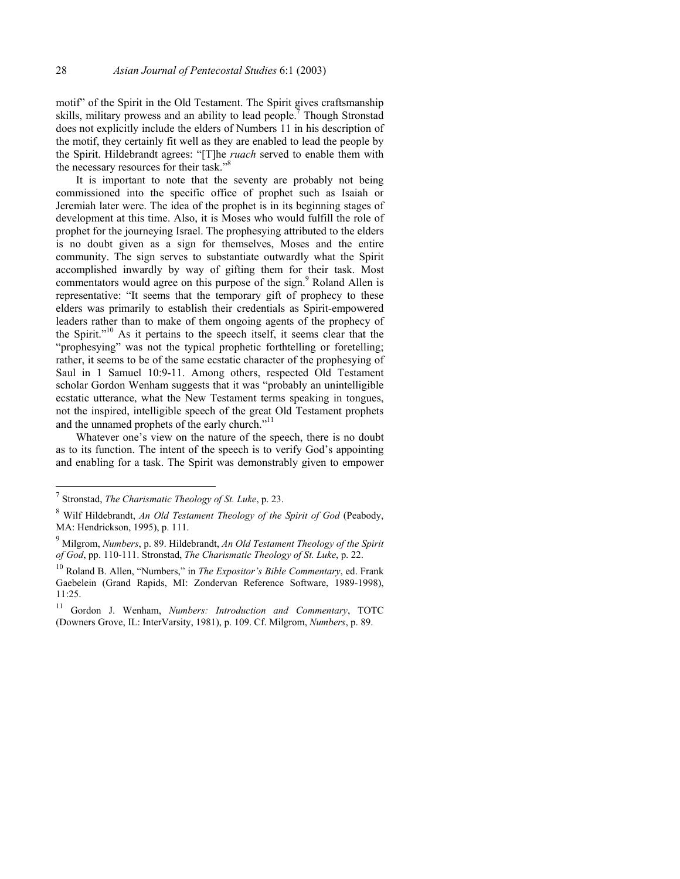motif" of the Spirit in the Old Testament. The Spirit gives craftsmanship skills, military prowess and an ability to lead people.<sup>7</sup> Though Stronstad does not explicitly include the elders of Numbers 11 in his description of the motif, they certainly fit well as they are enabled to lead the people by the Spirit. Hildebrandt agrees: "[T]he *ruach* served to enable them with the necessary resources for their task."<sup>8</sup>

It is important to note that the seventy are probably not being commissioned into the specific office of prophet such as Isaiah or Jeremiah later were. The idea of the prophet is in its beginning stages of development at this time. Also, it is Moses who would fulfill the role of prophet for the journeying Israel. The prophesying attributed to the elders is no doubt given as a sign for themselves, Moses and the entire community. The sign serves to substantiate outwardly what the Spirit accomplished inwardly by way of gifting them for their task. Most commentators would agree on this purpose of the sign.<sup>9</sup> Roland Allen is representative: "It seems that the temporary gift of prophecy to these elders was primarily to establish their credentials as Spirit-empowered leaders rather than to make of them ongoing agents of the prophecy of the Spirit."10 As it pertains to the speech itself, it seems clear that the "prophesying" was not the typical prophetic forthtelling or foretelling; rather, it seems to be of the same ecstatic character of the prophesying of Saul in 1 Samuel 10:9-11. Among others, respected Old Testament scholar Gordon Wenham suggests that it was "probably an unintelligible ecstatic utterance, what the New Testament terms speaking in tongues, not the inspired, intelligible speech of the great Old Testament prophets and the unnamed prophets of the early church."<sup>11</sup>

Whatever one's view on the nature of the speech, there is no doubt as to its function. The intent of the speech is to verify God's appointing and enabling for a task. The Spirit was demonstrably given to empower

<sup>7</sup> Stronstad, *The Charismatic Theology of St. Luke*, p. 23.

<sup>8</sup> Wilf Hildebrandt, *An Old Testament Theology of the Spirit of God* (Peabody, MA: Hendrickson, 1995), p. 111.

<sup>9</sup> Milgrom, *Numbers*, p. 89. Hildebrandt, *An Old Testament Theology of the Spirit of God*, pp. 110-111. Stronstad, *The Charismatic Theology of St. Luke*, p. 22.

<sup>10</sup> Roland B. Allen, "Numbers," in *The Expositor's Bible Commentary*, ed. Frank Gaebelein (Grand Rapids, MI: Zondervan Reference Software, 1989-1998), 11:25.

<sup>11</sup> Gordon J. Wenham, *Numbers: Introduction and Commentary*, TOTC (Downers Grove, IL: InterVarsity, 1981), p. 109. Cf. Milgrom, *Numbers*, p. 89.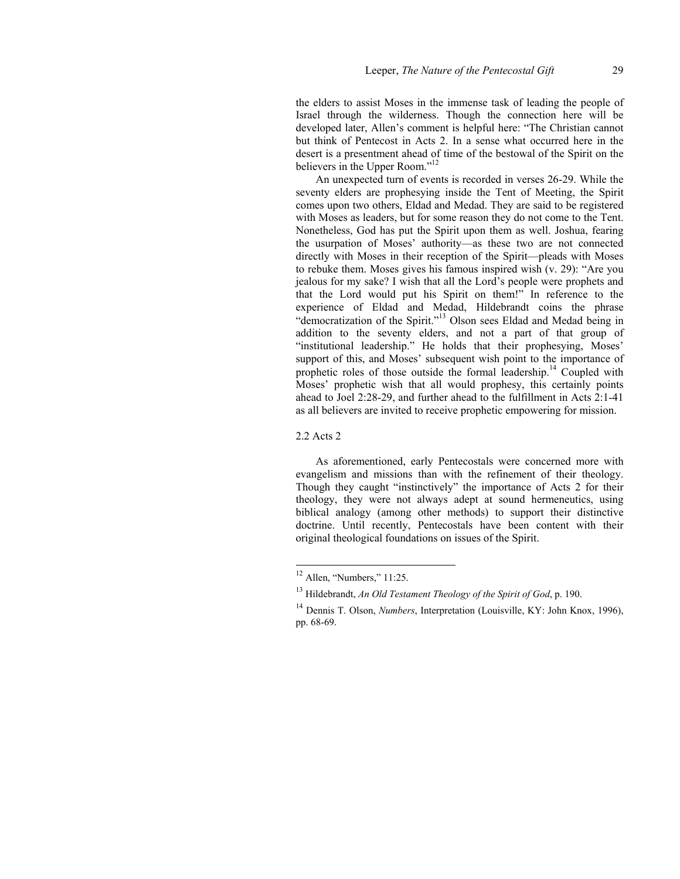the elders to assist Moses in the immense task of leading the people of Israel through the wilderness. Though the connection here will be developed later, Allen's comment is helpful here: "The Christian cannot but think of Pentecost in Acts 2. In a sense what occurred here in the desert is a presentment ahead of time of the bestowal of the Spirit on the believers in the Upper Room."<sup>12</sup>

An unexpected turn of events is recorded in verses 26-29. While the seventy elders are prophesying inside the Tent of Meeting, the Spirit comes upon two others, Eldad and Medad. They are said to be registered with Moses as leaders, but for some reason they do not come to the Tent. Nonetheless, God has put the Spirit upon them as well. Joshua, fearing the usurpation of Moses' authority—as these two are not connected directly with Moses in their reception of the Spirit—pleads with Moses to rebuke them. Moses gives his famous inspired wish (v. 29): "Are you jealous for my sake? I wish that all the Lord's people were prophets and that the Lord would put his Spirit on them!" In reference to the experience of Eldad and Medad, Hildebrandt coins the phrase "democratization of the Spirit."13 Olson sees Eldad and Medad being in addition to the seventy elders, and not a part of that group of "institutional leadership." He holds that their prophesying, Moses' support of this, and Moses' subsequent wish point to the importance of prophetic roles of those outside the formal leadership.<sup>14</sup> Coupled with Moses' prophetic wish that all would prophesy, this certainly points ahead to Joel 2:28-29, and further ahead to the fulfillment in Acts 2:1-41 as all believers are invited to receive prophetic empowering for mission.

2.2 Acts 2

l

As aforementioned, early Pentecostals were concerned more with evangelism and missions than with the refinement of their theology. Though they caught "instinctively" the importance of Acts 2 for their theology, they were not always adept at sound hermeneutics, using biblical analogy (among other methods) to support their distinctive doctrine. Until recently, Pentecostals have been content with their original theological foundations on issues of the Spirit.

 $12$  Allen, "Numbers," 11:25.

<sup>13</sup> Hildebrandt, *An Old Testament Theology of the Spirit of God*, p. 190.

<sup>&</sup>lt;sup>14</sup> Dennis T. Olson, *Numbers*, Interpretation (Louisville, KY: John Knox, 1996), pp. 68-69.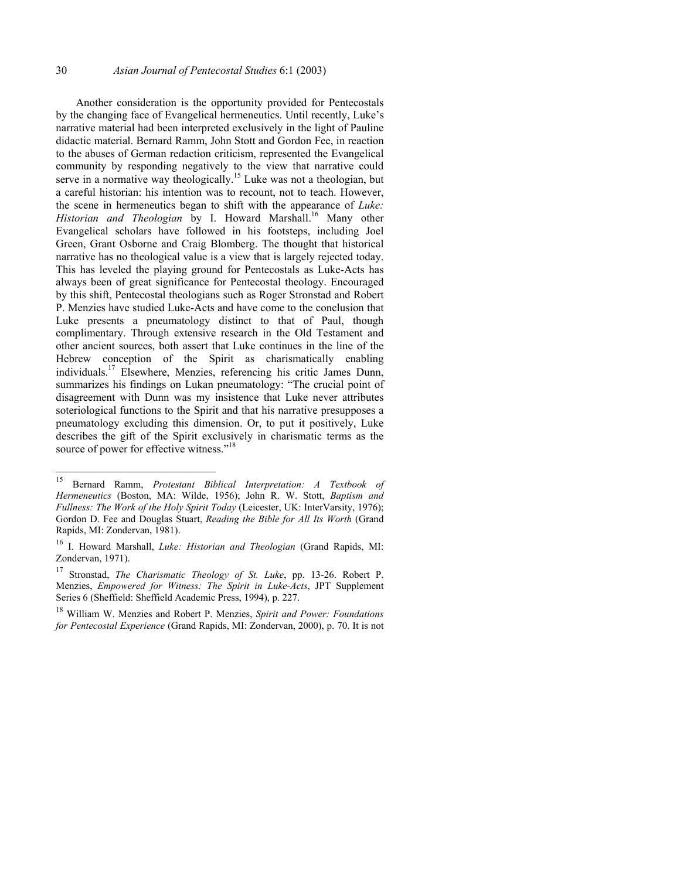Another consideration is the opportunity provided for Pentecostals by the changing face of Evangelical hermeneutics. Until recently, Luke's narrative material had been interpreted exclusively in the light of Pauline didactic material. Bernard Ramm, John Stott and Gordon Fee, in reaction to the abuses of German redaction criticism, represented the Evangelical community by responding negatively to the view that narrative could serve in a normative way theologically.<sup>15</sup> Luke was not a theologian, but a careful historian: his intention was to recount, not to teach. However, the scene in hermeneutics began to shift with the appearance of *Luke:*  Historian and Theologian by I. Howard Marshall.<sup>16</sup> Many other Evangelical scholars have followed in his footsteps, including Joel Green, Grant Osborne and Craig Blomberg. The thought that historical narrative has no theological value is a view that is largely rejected today. This has leveled the playing ground for Pentecostals as Luke-Acts has always been of great significance for Pentecostal theology. Encouraged by this shift, Pentecostal theologians such as Roger Stronstad and Robert P. Menzies have studied Luke-Acts and have come to the conclusion that Luke presents a pneumatology distinct to that of Paul, though complimentary. Through extensive research in the Old Testament and other ancient sources, both assert that Luke continues in the line of the Hebrew conception of the Spirit as charismatically enabling individuals.17 Elsewhere, Menzies, referencing his critic James Dunn, summarizes his findings on Lukan pneumatology: "The crucial point of disagreement with Dunn was my insistence that Luke never attributes soteriological functions to the Spirit and that his narrative presupposes a pneumatology excluding this dimension. Or, to put it positively, Luke describes the gift of the Spirit exclusively in charismatic terms as the source of power for effective witness."<sup>18</sup>

<sup>15</sup> 15 Bernard Ramm, *Protestant Biblical Interpretation: A Textbook of Hermeneutics* (Boston, MA: Wilde, 1956); John R. W. Stott, *Baptism and Fullness: The Work of the Holy Spirit Today* (Leicester, UK: InterVarsity, 1976); Gordon D. Fee and Douglas Stuart, *Reading the Bible for All Its Worth* (Grand Rapids, MI: Zondervan, 1981).

<sup>16</sup> I. Howard Marshall, *Luke: Historian and Theologian* (Grand Rapids, MI: Zondervan, 1971).

<sup>17</sup> Stronstad, *The Charismatic Theology of St. Luke*, pp. 13-26. Robert P. Menzies, *Empowered for Witness: The Spirit in Luke-Acts*, JPT Supplement Series 6 (Sheffield: Sheffield Academic Press, 1994), p. 227.

<sup>18</sup> William W. Menzies and Robert P. Menzies, *Spirit and Power: Foundations for Pentecostal Experience* (Grand Rapids, MI: Zondervan, 2000), p. 70. It is not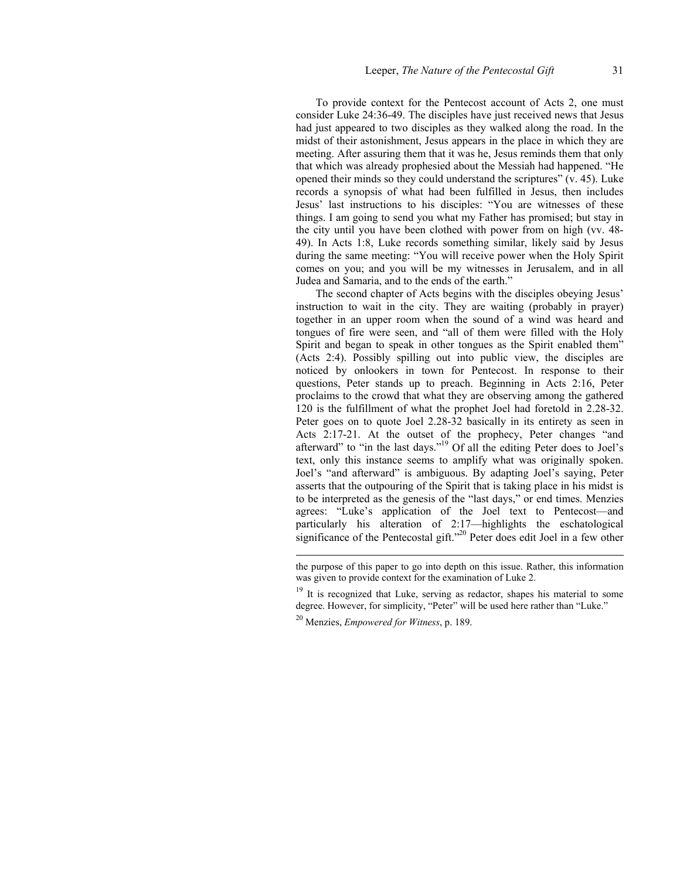To provide context for the Pentecost account of Acts 2, one must consider Luke 24:36-49. The disciples have just received news that Jesus had just appeared to two disciples as they walked along the road. In the midst of their astonishment, Jesus appears in the place in which they are meeting. After assuring them that it was he, Jesus reminds them that only that which was already prophesied about the Messiah had happened. "He opened their minds so they could understand the scriptures" (v. 45). Luke records a synopsis of what had been fulfilled in Jesus, then includes Jesus' last instructions to his disciples: "You are witnesses of these things. I am going to send you what my Father has promised; but stay in the city until you have been clothed with power from on high (vv. 48- 49). In Acts 1:8, Luke records something similar, likely said by Jesus during the same meeting: "You will receive power when the Holy Spirit comes on you; and you will be my witnesses in Jerusalem, and in all Judea and Samaria, and to the ends of the earth."

The second chapter of Acts begins with the disciples obeying Jesus' instruction to wait in the city. They are waiting (probably in prayer) together in an upper room when the sound of a wind was heard and tongues of fire were seen, and "all of them were filled with the Holy Spirit and began to speak in other tongues as the Spirit enabled them" (Acts 2:4). Possibly spilling out into public view, the disciples are noticed by onlookers in town for Pentecost. In response to their questions, Peter stands up to preach. Beginning in Acts 2:16, Peter proclaims to the crowd that what they are observing among the gathered 120 is the fulfillment of what the prophet Joel had foretold in 2.28-32. Peter goes on to quote Joel 2.28-32 basically in its entirety as seen in Acts 2:17-21. At the outset of the prophecy, Peter changes "and afterward" to "in the last days."19 Of all the editing Peter does to Joel's text, only this instance seems to amplify what was originally spoken. Joel's "and afterward" is ambiguous. By adapting Joel's saying, Peter asserts that the outpouring of the Spirit that is taking place in his midst is to be interpreted as the genesis of the "last days," or end times. Menzies agrees: "Luke's application of the Joel text to Pentecost—and particularly his alteration of 2:17—highlights the eschatological significance of the Pentecostal gift."<sup>20</sup> Peter does edit Joel in a few other

the purpose of this paper to go into depth on this issue. Rather, this information was given to provide context for the examination of Luke 2.

<sup>&</sup>lt;sup>19</sup> It is recognized that Luke, serving as redactor, shapes his material to some degree. However, for simplicity, "Peter" will be used here rather than "Luke."

<sup>20</sup> Menzies, *Empowered for Witness*, p. 189.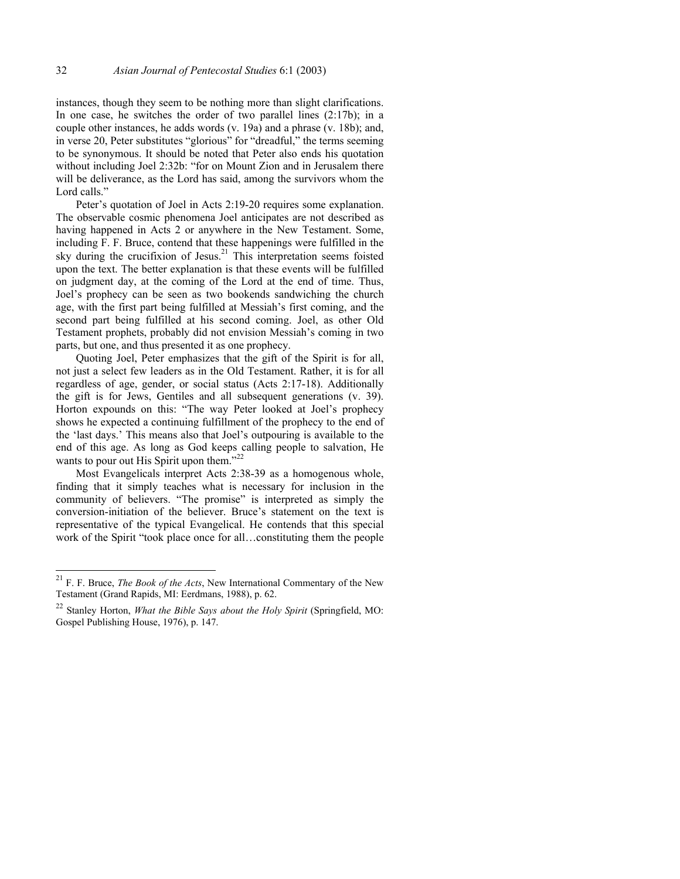instances, though they seem to be nothing more than slight clarifications. In one case, he switches the order of two parallel lines (2:17b); in a couple other instances, he adds words (v. 19a) and a phrase (v. 18b); and, in verse 20, Peter substitutes "glorious" for "dreadful," the terms seeming to be synonymous. It should be noted that Peter also ends his quotation without including Joel 2:32b: "for on Mount Zion and in Jerusalem there will be deliverance, as the Lord has said, among the survivors whom the Lord calls."

Peter's quotation of Joel in Acts 2:19-20 requires some explanation. The observable cosmic phenomena Joel anticipates are not described as having happened in Acts 2 or anywhere in the New Testament. Some, including F. F. Bruce, contend that these happenings were fulfilled in the sky during the crucifixion of Jesus.<sup>21</sup> This interpretation seems foisted upon the text. The better explanation is that these events will be fulfilled on judgment day, at the coming of the Lord at the end of time. Thus, Joel's prophecy can be seen as two bookends sandwiching the church age, with the first part being fulfilled at Messiah's first coming, and the second part being fulfilled at his second coming. Joel, as other Old Testament prophets, probably did not envision Messiah's coming in two parts, but one, and thus presented it as one prophecy.

Quoting Joel, Peter emphasizes that the gift of the Spirit is for all, not just a select few leaders as in the Old Testament. Rather, it is for all regardless of age, gender, or social status (Acts 2:17-18). Additionally the gift is for Jews, Gentiles and all subsequent generations (v. 39). Horton expounds on this: "The way Peter looked at Joel's prophecy shows he expected a continuing fulfillment of the prophecy to the end of the 'last days.' This means also that Joel's outpouring is available to the end of this age. As long as God keeps calling people to salvation, He wants to pour out His Spirit upon them."<sup>22</sup>

Most Evangelicals interpret Acts 2:38-39 as a homogenous whole, finding that it simply teaches what is necessary for inclusion in the community of believers. "The promise" is interpreted as simply the conversion-initiation of the believer. Bruce's statement on the text is representative of the typical Evangelical. He contends that this special work of the Spirit "took place once for all…constituting them the people

<sup>21</sup> F. F. Bruce, *The Book of the Acts*, New International Commentary of the New Testament (Grand Rapids, MI: Eerdmans, 1988), p. 62.

<sup>22</sup> Stanley Horton, *What the Bible Says about the Holy Spirit* (Springfield, MO: Gospel Publishing House, 1976), p. 147.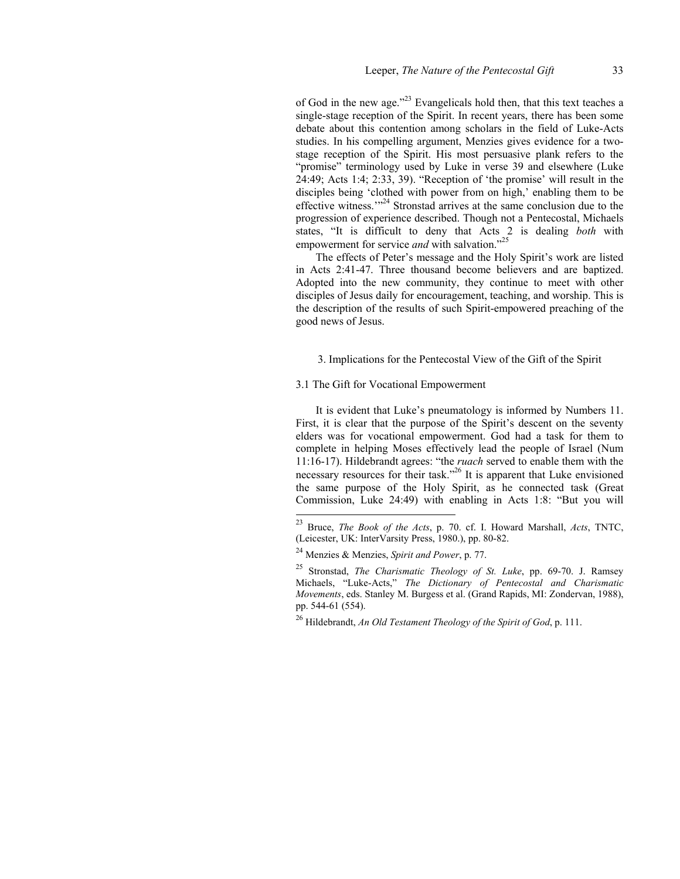of God in the new age."23 Evangelicals hold then, that this text teaches a single-stage reception of the Spirit. In recent years, there has been some debate about this contention among scholars in the field of Luke-Acts studies. In his compelling argument, Menzies gives evidence for a twostage reception of the Spirit. His most persuasive plank refers to the "promise" terminology used by Luke in verse 39 and elsewhere (Luke 24:49; Acts 1:4; 2:33, 39). "Reception of 'the promise' will result in the disciples being 'clothed with power from on high,' enabling them to be effective witness."<sup>24</sup> Stronstad arrives at the same conclusion due to the progression of experience described. Though not a Pentecostal, Michaels states, "It is difficult to deny that Acts 2 is dealing *both* with empowerment for service *and* with salvation."<sup>25</sup>

The effects of Peter's message and the Holy Spirit's work are listed in Acts 2:41-47. Three thousand become believers and are baptized. Adopted into the new community, they continue to meet with other disciples of Jesus daily for encouragement, teaching, and worship. This is the description of the results of such Spirit-empowered preaching of the good news of Jesus.

3. Implications for the Pentecostal View of the Gift of the Spirit

# 3.1 The Gift for Vocational Empowerment

It is evident that Luke's pneumatology is informed by Numbers 11. First, it is clear that the purpose of the Spirit's descent on the seventy elders was for vocational empowerment. God had a task for them to complete in helping Moses effectively lead the people of Israel (Num 11:16-17). Hildebrandt agrees: "the *ruach* served to enable them with the necessary resources for their task."<sup>26</sup> It is apparent that Luke envisioned the same purpose of the Holy Spirit, as he connected task (Great Commission, Luke 24:49) with enabling in Acts 1:8: "But you will

<sup>23</sup> Bruce, *The Book of the Acts*, p. 70. cf. I. Howard Marshall, *Acts*, TNTC, (Leicester, UK: InterVarsity Press, 1980.), pp. 80-82.

<sup>24</sup> Menzies & Menzies, *Spirit and Power*, p. 77.

<sup>25</sup> Stronstad, *The Charismatic Theology of St. Luke*, pp. 69-70. J. Ramsey Michaels, "Luke-Acts," *The Dictionary of Pentecostal and Charismatic Movements*, eds. Stanley M. Burgess et al. (Grand Rapids, MI: Zondervan, 1988), pp. 544-61 (554).

<sup>26</sup> Hildebrandt, *An Old Testament Theology of the Spirit of God*, p. 111.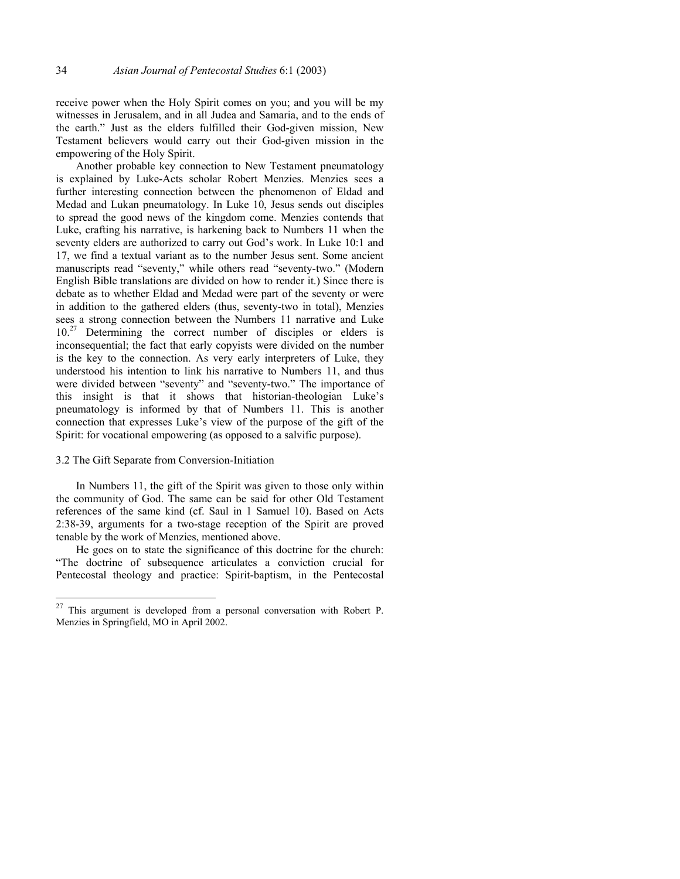receive power when the Holy Spirit comes on you; and you will be my witnesses in Jerusalem, and in all Judea and Samaria, and to the ends of the earth." Just as the elders fulfilled their God-given mission, New Testament believers would carry out their God-given mission in the empowering of the Holy Spirit.

Another probable key connection to New Testament pneumatology is explained by Luke-Acts scholar Robert Menzies. Menzies sees a further interesting connection between the phenomenon of Eldad and Medad and Lukan pneumatology. In Luke 10, Jesus sends out disciples to spread the good news of the kingdom come. Menzies contends that Luke, crafting his narrative, is harkening back to Numbers 11 when the seventy elders are authorized to carry out God's work. In Luke 10:1 and 17, we find a textual variant as to the number Jesus sent. Some ancient manuscripts read "seventy," while others read "seventy-two." (Modern English Bible translations are divided on how to render it.) Since there is debate as to whether Eldad and Medad were part of the seventy or were in addition to the gathered elders (thus, seventy-two in total), Menzies sees a strong connection between the Numbers 11 narrative and Luke  $10<sup>27</sup>$  Determining the correct number of disciples or elders is inconsequential; the fact that early copyists were divided on the number is the key to the connection. As very early interpreters of Luke, they understood his intention to link his narrative to Numbers 11, and thus were divided between "seventy" and "seventy-two." The importance of this insight is that it shows that historian-theologian Luke's pneumatology is informed by that of Numbers 11. This is another connection that expresses Luke's view of the purpose of the gift of the Spirit: for vocational empowering (as opposed to a salvific purpose).

#### 3.2 The Gift Separate from Conversion-Initiation

l

In Numbers 11, the gift of the Spirit was given to those only within the community of God. The same can be said for other Old Testament references of the same kind (cf. Saul in 1 Samuel 10). Based on Acts 2:38-39, arguments for a two-stage reception of the Spirit are proved tenable by the work of Menzies, mentioned above.

He goes on to state the significance of this doctrine for the church: "The doctrine of subsequence articulates a conviction crucial for Pentecostal theology and practice: Spirit-baptism, in the Pentecostal

 $27$  This argument is developed from a personal conversation with Robert P. Menzies in Springfield, MO in April 2002.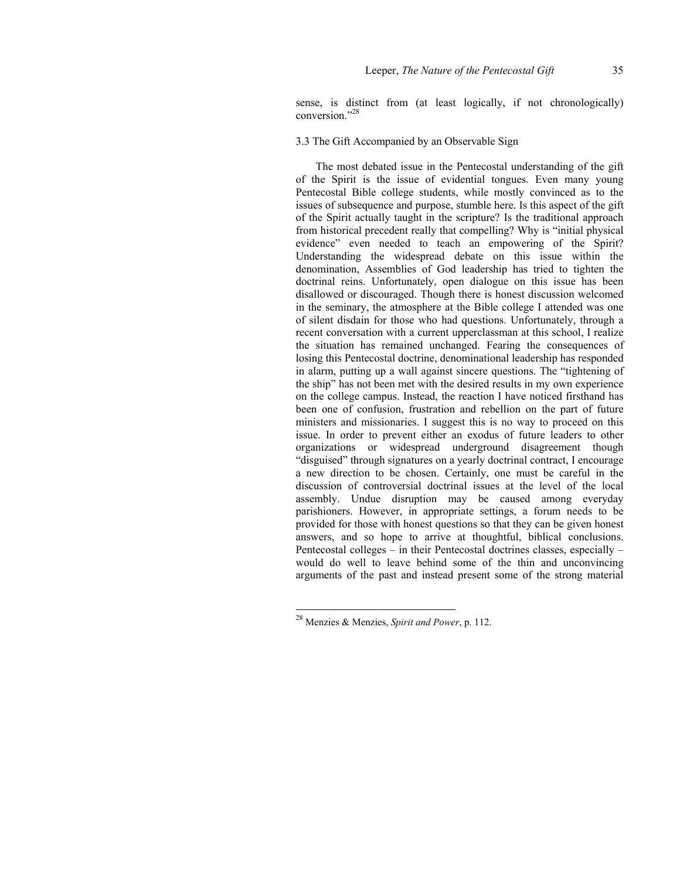sense, is distinct from (at least logically, if not chronologically) conversion<sup>"28</sup>

# 3.3 The Gift Accompanied by an Observable Sign

The most debated issue in the Pentecostal understanding of the gift of the Spirit is the issue of evidential tongues. Even many young Pentecostal Bible college students, while mostly convinced as to the issues of subsequence and purpose, stumble here. Is this aspect of the gift of the Spirit actually taught in the scripture? Is the traditional approach from historical precedent really that compelling? Why is "initial physical evidence" even needed to teach an empowering of the Spirit? Understanding the widespread debate on this issue within the denomination, Assemblies of God leadership has tried to tighten the doctrinal reins. Unfortunately, open dialogue on this issue has been disallowed or discouraged. Though there is honest discussion welcomed in the seminary, the atmosphere at the Bible college I attended was one of silent disdain for those who had questions. Unfortunately, through a recent conversation with a current upperclassman at this school, I realize the situation has remained unchanged. Fearing the consequences of losing this Pentecostal doctrine, denominational leadership has responded in alarm, putting up a wall against sincere questions. The "tightening of the ship" has not been met with the desired results in my own experience on the college campus. Instead, the reaction I have noticed firsthand has been one of confusion, frustration and rebellion on the part of future ministers and missionaries. I suggest this is no way to proceed on this issue. In order to prevent either an exodus of future leaders to other organizations or widespread underground disagreement though "disguised" through signatures on a yearly doctrinal contract, I encourage a new direction to be chosen. Certainly, one must be careful in the discussion of controversial doctrinal issues at the level of the local assembly. Undue disruption may be caused among everyday parishioners. However, in appropriate settings, a forum needs to be provided for those with honest questions so that they can be given honest answers, and so hope to arrive at thoughtful, biblical conclusions. Pentecostal colleges – in their Pentecostal doctrines classes, especially – would do well to leave behind some of the thin and unconvincing arguments of the past and instead present some of the strong material

<sup>28</sup> Menzies & Menzies, *Spirit and Power*, p. 112.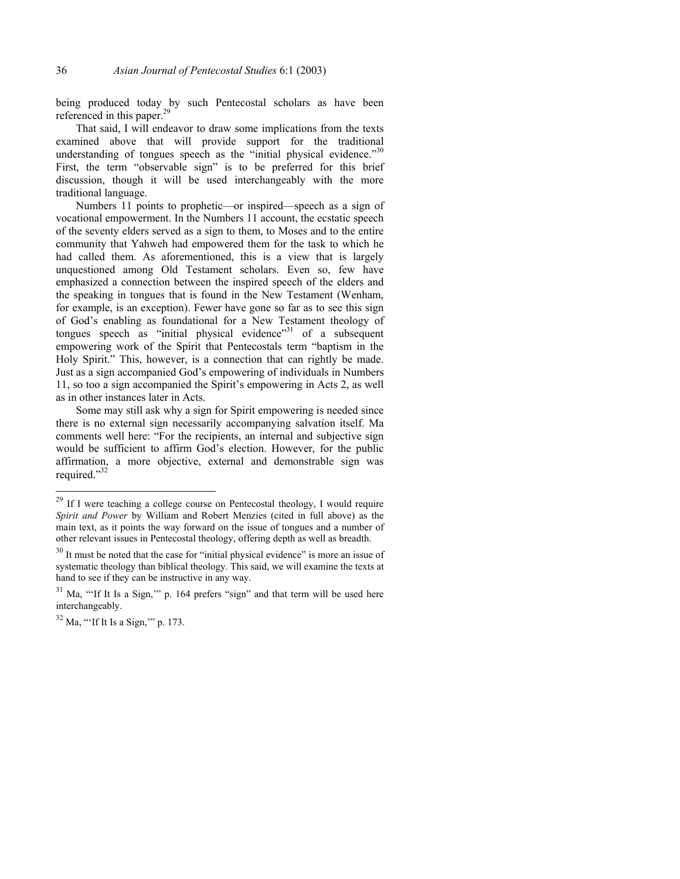being produced today by such Pentecostal scholars as have been referenced in this paper.<sup>29</sup>

That said, I will endeavor to draw some implications from the texts examined above that will provide support for the traditional understanding of tongues speech as the "initial physical evidence." $30$ First, the term "observable sign" is to be preferred for this brief discussion, though it will be used interchangeably with the more traditional language.

Numbers 11 points to prophetic—or inspired—speech as a sign of vocational empowerment. In the Numbers 11 account, the ecstatic speech of the seventy elders served as a sign to them, to Moses and to the entire community that Yahweh had empowered them for the task to which he had called them. As aforementioned, this is a view that is largely unquestioned among Old Testament scholars. Even so, few have emphasized a connection between the inspired speech of the elders and the speaking in tongues that is found in the New Testament (Wenham, for example, is an exception). Fewer have gone so far as to see this sign of God's enabling as foundational for a New Testament theology of tongues speech as "initial physical evidence"<sup>31</sup> of a subsequent empowering work of the Spirit that Pentecostals term "baptism in the Holy Spirit." This, however, is a connection that can rightly be made. Just as a sign accompanied God's empowering of individuals in Numbers 11, so too a sign accompanied the Spirit's empowering in Acts 2, as well as in other instances later in Acts.

Some may still ask why a sign for Spirit empowering is needed since there is no external sign necessarily accompanying salvation itself. Ma comments well here: "For the recipients, an internal and subjective sign would be sufficient to affirm God's election. However, for the public affirmation, a more objective, external and demonstrable sign was required."<sup>32</sup>

 $^{29}$  If I were teaching a college course on Pentecostal theology, I would require *Spirit and Power* by William and Robert Menzies (cited in full above) as the main text, as it points the way forward on the issue of tongues and a number of other relevant issues in Pentecostal theology, offering depth as well as breadth.

 $30$  It must be noted that the case for "initial physical evidence" is more an issue of systematic theology than biblical theology. This said, we will examine the texts at hand to see if they can be instructive in any way.

Ma, "'If It Is a Sign," p. 164 prefers "sign" and that term will be used here interchangeably.

<sup>32</sup> Ma, "'If It Is a Sign,'" p. 173.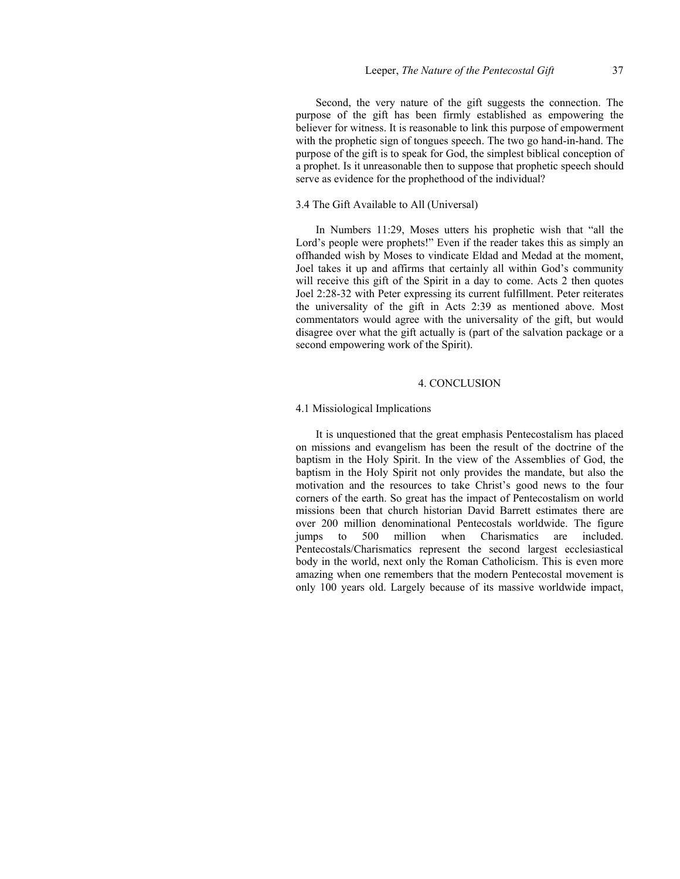Second, the very nature of the gift suggests the connection. The purpose of the gift has been firmly established as empowering the believer for witness. It is reasonable to link this purpose of empowerment with the prophetic sign of tongues speech. The two go hand-in-hand. The purpose of the gift is to speak for God, the simplest biblical conception of a prophet. Is it unreasonable then to suppose that prophetic speech should serve as evidence for the prophethood of the individual?

### 3.4 The Gift Available to All (Universal)

In Numbers 11:29, Moses utters his prophetic wish that "all the Lord's people were prophets!" Even if the reader takes this as simply an offhanded wish by Moses to vindicate Eldad and Medad at the moment, Joel takes it up and affirms that certainly all within God's community will receive this gift of the Spirit in a day to come. Acts 2 then quotes Joel 2:28-32 with Peter expressing its current fulfillment. Peter reiterates the universality of the gift in Acts 2:39 as mentioned above. Most commentators would agree with the universality of the gift, but would disagree over what the gift actually is (part of the salvation package or a second empowering work of the Spirit).

#### 4. CONCLUSION

### 4.1 Missiological Implications

It is unquestioned that the great emphasis Pentecostalism has placed on missions and evangelism has been the result of the doctrine of the baptism in the Holy Spirit. In the view of the Assemblies of God, the baptism in the Holy Spirit not only provides the mandate, but also the motivation and the resources to take Christ's good news to the four corners of the earth. So great has the impact of Pentecostalism on world missions been that church historian David Barrett estimates there are over 200 million denominational Pentecostals worldwide. The figure jumps to 500 million when Charismatics are included. Pentecostals/Charismatics represent the second largest ecclesiastical body in the world, next only the Roman Catholicism. This is even more amazing when one remembers that the modern Pentecostal movement is only 100 years old. Largely because of its massive worldwide impact,